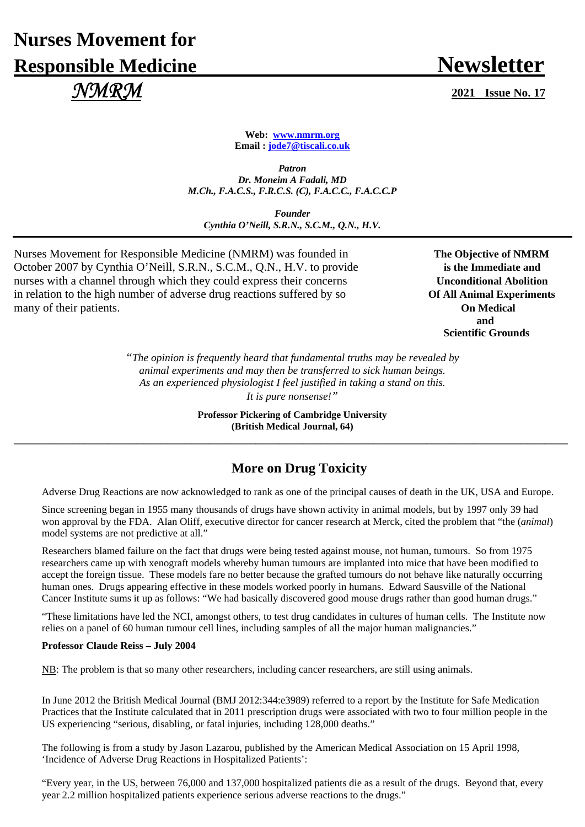# **Nurses Movement for Responsible Medicine Newsletter**  *NMRM* **2021 Issue No. 17**

**Web: www.nmrm.org Email : jode7@tiscali.co.uk** 

*Patron Dr. Moneim A Fadali, MD M.Ch., F.A.C.S., F.R.C.S. (C), F.A.C.C., F.A.C.C.P* 

*Founder Cynthia O'Neill, S.R.N., S.C.M., Q.N., H.V.*

Nurses Movement for Responsible Medicine (NMRM) was founded in **The Objective of NMRM** October 2007 by Cynthia O'Neill, S.R.N., S.C.M., Q.N., H.V. to provide **is the Immediate and** nurses with a channel through which they could express their concerns **Unconditional Abolition** in relation to the high number of adverse drug reactions suffered by so **Of All Animal Experiments** many of their patients. **On Medical** 

 **and Scientific Grounds** 

> *"The opinion is frequently heard that fundamental truths may be revealed by animal experiments and may then be transferred to sick human beings. As an experienced physiologist I feel justified in taking a stand on this. It is pure nonsense!"*

**Professor Pickering of Cambridge University (British Medical Journal, 64) \_\_\_\_\_\_\_\_\_\_\_\_\_\_\_\_\_\_\_\_\_\_\_\_\_\_\_\_\_\_\_\_\_\_\_\_\_\_\_\_\_\_\_\_\_\_\_\_\_\_\_\_\_\_\_\_\_\_\_\_\_\_\_\_\_\_\_\_\_\_\_\_\_\_\_\_\_\_\_\_\_\_\_\_\_\_\_\_\_\_\_\_\_\_**

## **More on Drug Toxicity**

Adverse Drug Reactions are now acknowledged to rank as one of the principal causes of death in the UK, USA and Europe.

Since screening began in 1955 many thousands of drugs have shown activity in animal models, but by 1997 only 39 had won approval by the FDA. Alan Oliff, executive director for cancer research at Merck, cited the problem that "the (*animal*) model systems are not predictive at all."

Researchers blamed failure on the fact that drugs were being tested against mouse, not human, tumours. So from 1975 researchers came up with xenograft models whereby human tumours are implanted into mice that have been modified to accept the foreign tissue. These models fare no better because the grafted tumours do not behave like naturally occurring human ones. Drugs appearing effective in these models worked poorly in humans. Edward Sausville of the National Cancer Institute sums it up as follows: "We had basically discovered good mouse drugs rather than good human drugs."

"These limitations have led the NCI, amongst others, to test drug candidates in cultures of human cells. The Institute now relies on a panel of 60 human tumour cell lines, including samples of all the major human malignancies."

#### **Professor Claude Reiss – July 2004**

NB: The problem is that so many other researchers, including cancer researchers, are still using animals.

In June 2012 the British Medical Journal (BMJ 2012:344:e3989) referred to a report by the Institute for Safe Medication Practices that the Institute calculated that in 2011 prescription drugs were associated with two to four million people in the US experiencing "serious, disabling, or fatal injuries, including 128,000 deaths."

The following is from a study by Jason Lazarou, published by the American Medical Association on 15 April 1998, 'Incidence of Adverse Drug Reactions in Hospitalized Patients':

"Every year, in the US, between 76,000 and 137,000 hospitalized patients die as a result of the drugs. Beyond that, every year 2.2 million hospitalized patients experience serious adverse reactions to the drugs."